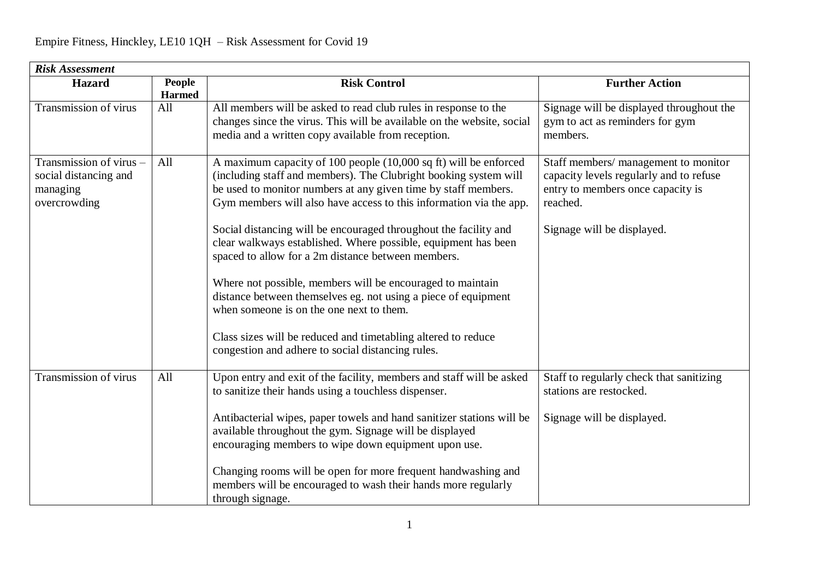| <b>Risk Assessment</b>                                                       |                                |                                                                                                                                                                                                                                                                                                                                                                                                                                                                                                                                                                                                                                                                                                                                                                            |                                                                                                                                                                |  |  |  |
|------------------------------------------------------------------------------|--------------------------------|----------------------------------------------------------------------------------------------------------------------------------------------------------------------------------------------------------------------------------------------------------------------------------------------------------------------------------------------------------------------------------------------------------------------------------------------------------------------------------------------------------------------------------------------------------------------------------------------------------------------------------------------------------------------------------------------------------------------------------------------------------------------------|----------------------------------------------------------------------------------------------------------------------------------------------------------------|--|--|--|
| <b>Hazard</b>                                                                | <b>People</b><br><b>Harmed</b> | <b>Risk Control</b>                                                                                                                                                                                                                                                                                                                                                                                                                                                                                                                                                                                                                                                                                                                                                        | <b>Further Action</b>                                                                                                                                          |  |  |  |
| <b>Transmission of virus</b>                                                 | All                            | All members will be asked to read club rules in response to the<br>changes since the virus. This will be available on the website, social<br>media and a written copy available from reception.                                                                                                                                                                                                                                                                                                                                                                                                                                                                                                                                                                            | Signage will be displayed throughout the<br>gym to act as reminders for gym<br>members.                                                                        |  |  |  |
| Transmission of virus -<br>social distancing and<br>managing<br>overcrowding | All                            | A maximum capacity of 100 people (10,000 sq ft) will be enforced<br>(including staff and members). The Clubright booking system will<br>be used to monitor numbers at any given time by staff members.<br>Gym members will also have access to this information via the app.<br>Social distancing will be encouraged throughout the facility and<br>clear walkways established. Where possible, equipment has been<br>spaced to allow for a 2m distance between members.<br>Where not possible, members will be encouraged to maintain<br>distance between themselves eg. not using a piece of equipment<br>when someone is on the one next to them.<br>Class sizes will be reduced and timetabling altered to reduce<br>congestion and adhere to social distancing rules. | Staff members/ management to monitor<br>capacity levels regularly and to refuse<br>entry to members once capacity is<br>reached.<br>Signage will be displayed. |  |  |  |
| Transmission of virus                                                        | All                            | Upon entry and exit of the facility, members and staff will be asked<br>to sanitize their hands using a touchless dispenser.<br>Antibacterial wipes, paper towels and hand sanitizer stations will be<br>available throughout the gym. Signage will be displayed<br>encouraging members to wipe down equipment upon use.<br>Changing rooms will be open for more frequent handwashing and<br>members will be encouraged to wash their hands more regularly<br>through signage.                                                                                                                                                                                                                                                                                             | Staff to regularly check that sanitizing<br>stations are restocked.<br>Signage will be displayed.                                                              |  |  |  |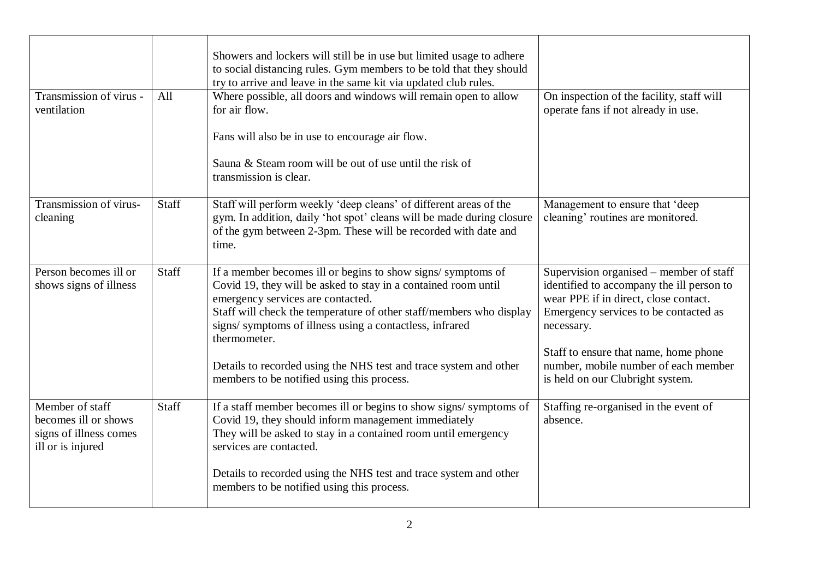| Transmission of virus -<br>ventilation                                                 | All   | Showers and lockers will still be in use but limited usage to adhere<br>to social distancing rules. Gym members to be told that they should<br>try to arrive and leave in the same kit via updated club rules.<br>Where possible, all doors and windows will remain open to allow<br>for air flow.<br>Fans will also be in use to encourage air flow. | On inspection of the facility, staff will<br>operate fans if not already in use.                                                                                                                                              |
|----------------------------------------------------------------------------------------|-------|-------------------------------------------------------------------------------------------------------------------------------------------------------------------------------------------------------------------------------------------------------------------------------------------------------------------------------------------------------|-------------------------------------------------------------------------------------------------------------------------------------------------------------------------------------------------------------------------------|
|                                                                                        |       | Sauna & Steam room will be out of use until the risk of<br>transmission is clear.                                                                                                                                                                                                                                                                     |                                                                                                                                                                                                                               |
| Transmission of virus-<br>cleaning                                                     | Staff | Staff will perform weekly 'deep cleans' of different areas of the<br>gym. In addition, daily 'hot spot' cleans will be made during closure<br>of the gym between 2-3pm. These will be recorded with date and<br>time.                                                                                                                                 | Management to ensure that 'deep<br>cleaning' routines are monitored.                                                                                                                                                          |
| Person becomes ill or<br>shows signs of illness                                        | Staff | If a member becomes ill or begins to show signs/symptoms of<br>Covid 19, they will be asked to stay in a contained room until<br>emergency services are contacted.<br>Staff will check the temperature of other staff/members who display<br>signs/symptoms of illness using a contactless, infrared<br>thermometer.                                  | Supervision organised – member of staff<br>identified to accompany the ill person to<br>wear PPE if in direct, close contact.<br>Emergency services to be contacted as<br>necessary.<br>Staff to ensure that name, home phone |
|                                                                                        |       | Details to recorded using the NHS test and trace system and other<br>members to be notified using this process.                                                                                                                                                                                                                                       | number, mobile number of each member<br>is held on our Clubright system.                                                                                                                                                      |
| Member of staff<br>becomes ill or shows<br>signs of illness comes<br>ill or is injured | Staff | If a staff member becomes ill or begins to show signs/symptoms of<br>Covid 19, they should inform management immediately<br>They will be asked to stay in a contained room until emergency<br>services are contacted.                                                                                                                                 | Staffing re-organised in the event of<br>absence.                                                                                                                                                                             |
|                                                                                        |       | Details to recorded using the NHS test and trace system and other<br>members to be notified using this process.                                                                                                                                                                                                                                       |                                                                                                                                                                                                                               |